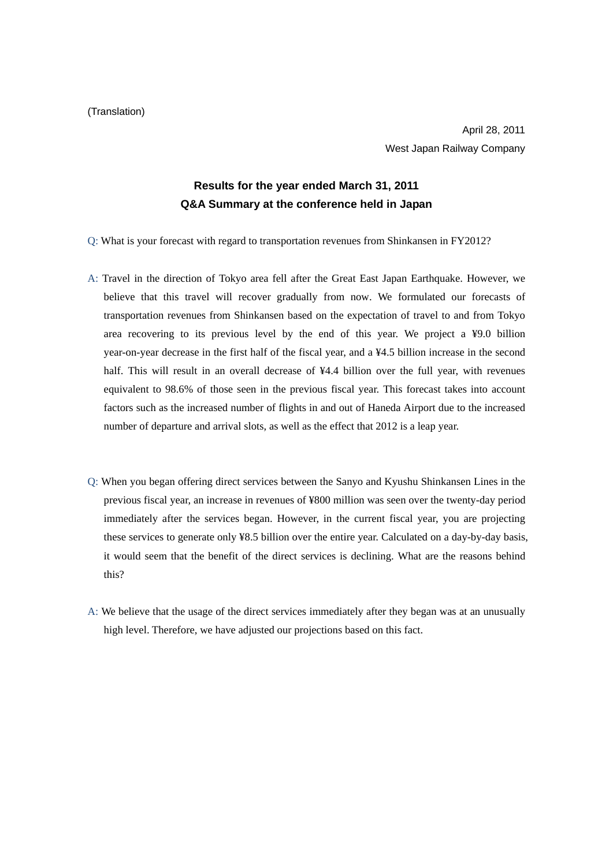## **Results for the year ended March 31, 2011 Q&A Summary at the conference held in Japan**

Q: What is your forecast with regard to transportation revenues from Shinkansen in FY2012?

- A: Travel in the direction of Tokyo area fell after the Great East Japan Earthquake. However, we believe that this travel will recover gradually from now. We formulated our forecasts of transportation revenues from Shinkansen based on the expectation of travel to and from Tokyo area recovering to its previous level by the end of this year. We project a ¥9.0 billion year-on-year decrease in the first half of the fiscal year, and a ¥4.5 billion increase in the second half. This will result in an overall decrease of ¥4.4 billion over the full year, with revenues equivalent to 98.6% of those seen in the previous fiscal year. This forecast takes into account factors such as the increased number of flights in and out of Haneda Airport due to the increased number of departure and arrival slots, as well as the effect that 2012 is a leap year.
- Q: When you began offering direct services between the Sanyo and Kyushu Shinkansen Lines in the previous fiscal year, an increase in revenues of ¥800 million was seen over the twenty-day period immediately after the services began. However, in the current fiscal year, you are projecting these services to generate only ¥8.5 billion over the entire year. Calculated on a day-by-day basis, it would seem that the benefit of the direct services is declining. What are the reasons behind this?
- A: We believe that the usage of the direct services immediately after they began was at an unusually high level. Therefore, we have adjusted our projections based on this fact.